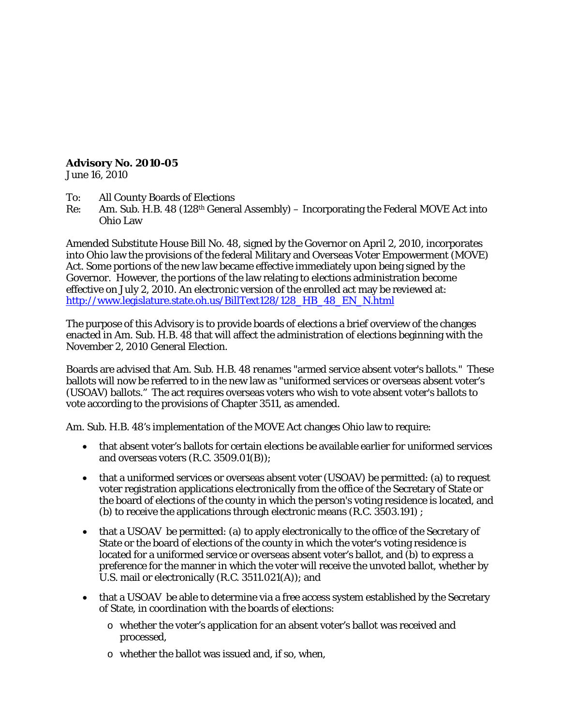**Advisory No. 2010-05** June 16, 2010

To: All County Boards of Elections

Re: Am. Sub. H.B. 48 (128th General Assembly) – Incorporating the Federal MOVE Act into Ohio Law

Amended Substitute House Bill No. 48, signed by the Governor on April 2, 2010, incorporates into Ohio law the provisions of the federal Military and Overseas Voter Empowerment (MOVE) Act. Some portions of the new law became effective immediately upon being signed by the Governor. However, the portions of the law relating to elections administration become effective on July 2, 2010. An electronic version of the enrolled act may be reviewed at: [http://www.legislature.state.oh.us/BillText128/128\\_HB\\_48\\_EN\\_N.html](http://www.legislature.state.oh.us/BillText128/128_HB_48_EN_N.html)

The purpose of this Advisory is to provide boards of elections a brief overview of the changes enacted in Am. Sub. H.B. 48 that will affect the administration of elections beginning with the November 2, 2010 General Election.

Boards are advised that Am. Sub. H.B. 48 renames "armed service absent voter's ballots." These ballots will now be referred to in the new law as "uniformed services or overseas absent voter's (USOAV) ballots." The act requires overseas voters who wish to vote absent voter's ballots to vote according to the provisions of Chapter 3511, as amended.

Am. Sub. H.B. 48's implementation of the MOVE Act changes Ohio law to require:

- that absent voter's ballots for certain elections be available earlier for uniformed services and overseas voters (R.C. 3509.01(B));
- that a uniformed services or overseas absent voter (USOAV) be permitted: (a) to request voter registration applications electronically from the office of the Secretary of State or the board of elections of the county in which the person's voting residence is located, and (b) to receive the applications through electronic means (R.C. 3503.191) ;
- that a USOAV be permitted: (a) to apply electronically to the office of the Secretary of State or the board of elections of the county in which the voter's voting residence is located for a uniformed service or overseas absent voter's ballot, and (b) to express a preference for the manner in which the voter will receive the unvoted ballot, whether by U.S. mail or electronically (R.C. 3511.021(A)); and
- that a USOAV be able to determine via a free access system established by the Secretary of State, in coordination with the boards of elections:
	- o whether the voter's application for an absent voter's ballot was received and processed,
	- o whether the ballot was issued and, if so, when,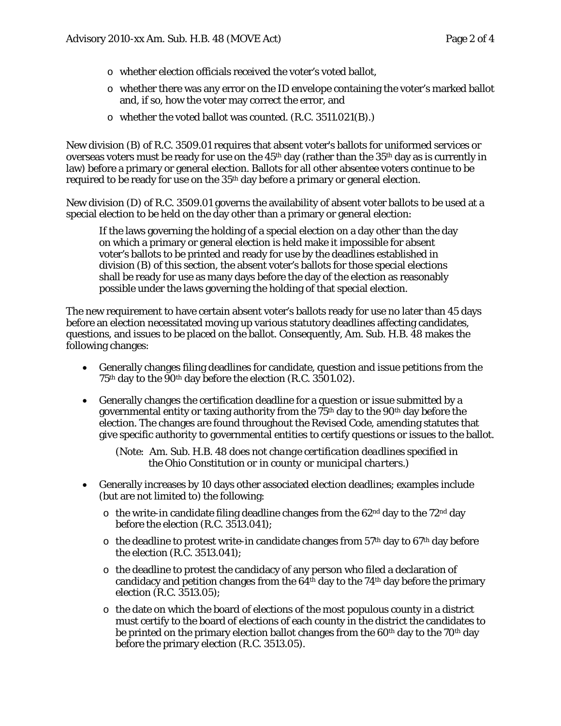- o whether election officials received the voter's voted ballot,
- o whether there was any error on the ID envelope containing the voter's marked ballot and, if so, how the voter may correct the error, and
- o whether the voted ballot was counted. (R.C. 3511.021(B).)

New division (B) of R.C. 3509.01 requires that absent voter's ballots for uniformed services or overseas voters must be ready for use on the  $45<sup>th</sup>$  day (rather than the  $35<sup>th</sup>$  day as is currently in law) before a primary or general election. Ballots for all other absentee voters continue to be required to be ready for use on the 35<sup>th</sup> day before a primary or general election.

New division (D) of R.C. 3509.01 governs the availability of absent voter ballots to be used at a special election to be held on the day other than a primary or general election:

If the laws governing the holding of a special election on a day other than the day on which a primary or general election is held make it impossible for absent voter's ballots to be printed and ready for use by the deadlines established in division (B) of this section, the absent voter's ballots for those special elections shall be ready for use as many days before the day of the election as reasonably possible under the laws governing the holding of that special election.

The new requirement to have certain absent voter's ballots ready for use no later than 45 days before an election necessitated moving up various statutory deadlines affecting candidates, questions, and issues to be placed on the ballot. Consequently, Am. Sub. H.B. 48 makes the following changes:

- Generally changes filing deadlines for candidate, question and issue petitions from the  $75<sup>th</sup>$  day to the  $90<sup>th</sup>$  day before the election (R.C. 3501.02).
- Generally changes the certification deadline for a question or issue submitted by a governmental entity or taxing authority from the  $75<sup>th</sup>$  day to the 90<sup>th</sup> day before the election. The changes are found throughout the Revised Code, amending statutes that give specific authority to governmental entities to certify questions or issues to the ballot.

*(Note: Am. Sub. H.B. 48 does not change certification deadlines specified in the Ohio Constitution or in county or municipal charters.)*

- Generally increases by 10 days other associated election deadlines; examples include (but are not limited to) the following:
	- $\circ$  the write-in candidate filing deadline changes from the 62<sup>nd</sup> day to the 72<sup>nd</sup> day before the election (R.C. 3513.041);
	- $\circ$  the deadline to protest write-in candidate changes from 57<sup>th</sup> day to 67<sup>th</sup> day before the election (R.C. 3513.041);
	- o the deadline to protest the candidacy of any person who filed a declaration of candidacy and petition changes from the  $64<sup>th</sup>$  day to the  $74<sup>th</sup>$  day before the primary election (R.C. 3513.05);
	- o the date on which the board of elections of the most populous county in a district must certify to the board of elections of each county in the district the candidates to be printed on the primary election ballot changes from the  $60<sup>th</sup>$  day to the  $70<sup>th</sup>$  day before the primary election (R.C. 3513.05).